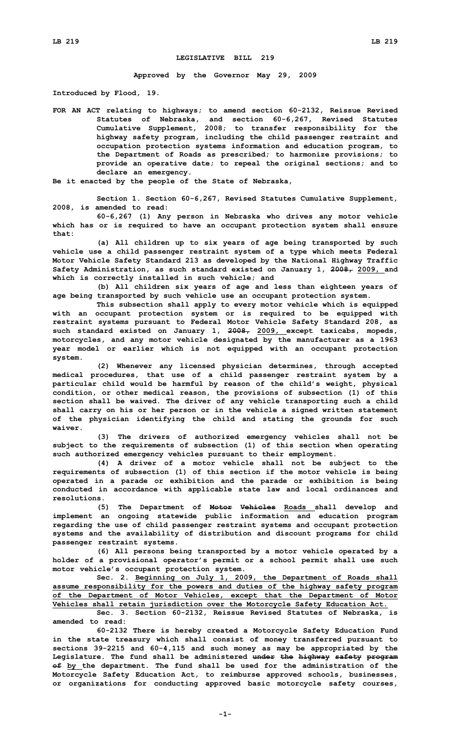## **LEGISLATIVE BILL 219**

**Approved by the Governor May 29, 2009**

**Introduced by Flood, 19.**

**FOR AN ACT relating to highways; to amend section 60-2132, Reissue Revised Statutes of Nebraska, and section 60-6,267, Revised Statutes Cumulative Supplement, 2008; to transfer responsibility for the highway safety program, including the child passenger restraint and occupation protection systems information and education program, to the Department of Roads as prescribed; to harmonize provisions; to provide an operative date; to repeal the original sections; and to declare an emergency.**

**Be it enacted by the people of the State of Nebraska,**

**Section 1. Section 60-6,267, Revised Statutes Cumulative Supplement, 2008, is amended to read:**

**60-6,267 (1) Any person in Nebraska who drives any motor vehicle which has or is required to have an occupant protection system shall ensure that:**

**(a) All children up to six years of age being transported by such vehicle use <sup>a</sup> child passenger restraint system of <sup>a</sup> type which meets Federal Motor Vehicle Safety Standard 213 as developed by the National Highway Traffic Safety Administration, as such standard existed on January 1, 2008, 2009, and which is correctly installed in such vehicle; and**

**(b) All children six years of age and less than eighteen years of age being transported by such vehicle use an occupant protection system.**

**This subsection shall apply to every motor vehicle which is equipped with an occupant protection system or is required to be equipped with restraint systems pursuant to Federal Motor Vehicle Safety Standard 208, as such standard existed on January 1, 2008, 2009, except taxicabs, mopeds, motorcycles, and any motor vehicle designated by the manufacturer as <sup>a</sup> 1963 year model or earlier which is not equipped with an occupant protection system.**

**(2) Whenever any licensed physician determines, through accepted medical procedures, that use of <sup>a</sup> child passenger restraint system by <sup>a</sup> particular child would be harmful by reason of the child's weight, physical condition, or other medical reason, the provisions of subsection (1) of this section shall be waived. The driver of any vehicle transporting such <sup>a</sup> child shall carry on his or her person or in the vehicle <sup>a</sup> signed written statement of the physician identifying the child and stating the grounds for such waiver.**

**(3) The drivers of authorized emergency vehicles shall not be subject to the requirements of subsection (1) of this section when operating such authorized emergency vehicles pursuant to their employment.**

**(4) <sup>A</sup> driver of <sup>a</sup> motor vehicle shall not be subject to the requirements of subsection (1) of this section if the motor vehicle is being operated in <sup>a</sup> parade or exhibition and the parade or exhibition is being conducted in accordance with applicable state law and local ordinances and resolutions.**

**(5) The Department of Motor Vehicles Roads shall develop and implement an ongoing statewide public information and education program regarding the use of child passenger restraint systems and occupant protection systems and the availability of distribution and discount programs for child passenger restraint systems.**

**(6) All persons being transported by <sup>a</sup> motor vehicle operated by <sup>a</sup> holder of <sup>a</sup> provisional operator's permit or <sup>a</sup> school permit shall use such motor vehicle's occupant protection system.**

**Sec. 2. Beginning on July 1, 2009, the Department of Roads shall assume responsibility for the powers and duties of the highway safety program of the Department of Motor Vehicles, except that the Department of Motor Vehicles shall retain jurisdiction over the Motorcycle Safety Education Act.**

**Sec. 3. Section 60-2132, Reissue Revised Statutes of Nebraska, is amended to read:**

**60-2132 There is hereby created <sup>a</sup> Motorcycle Safety Education Fund in the state treasury which shall consist of money transferred pursuant to sections 39-2215 and 60-4,115 and such money as may be appropriated by the Legislature. The fund shall be administered under the highway safety program of by the department. The fund shall be used for the administration of the Motorcycle Safety Education Act, to reimburse approved schools, businesses, or organizations for conducting approved basic motorcycle safety courses,**